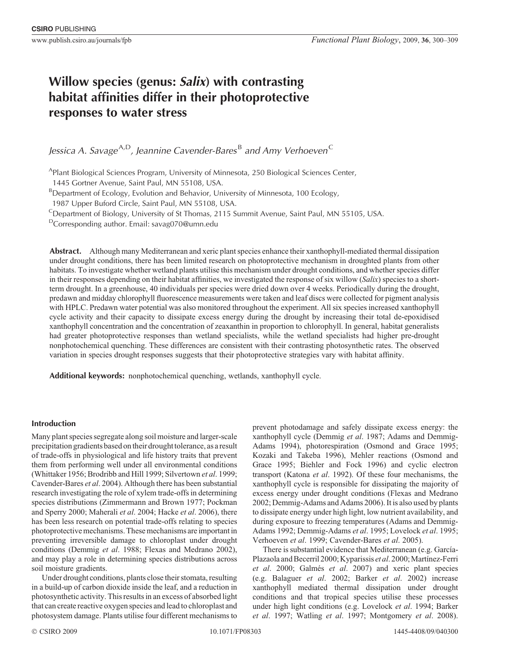# **Willow species (genus:** *Salix***) with contrasting habitat affinities differ in their photoprotective responses to water stress**

*Jessica A. Savage*<sup>A,D</sup>, Jeannine Cavender-Bares<sup>B</sup> and Amy Verhoeven<sup>C</sup>

<sup>A</sup>Plant Biological Sciences Program, University of Minnesota, 250 Biological Sciences Center,

1445 Gortner Avenue, Saint Paul, MN 55108, USA.

<sup>B</sup>Department of Ecology, Evolution and Behavior, University of Minnesota, 100 Ecology,

1987 Upper Buford Circle, Saint Paul, MN 55108, USA.

<sup>C</sup>Department of Biology, University of St Thomas, 2115 Summit Avenue, Saint Paul, MN 55105, USA.

DCorresponding author. Email: savag070@umn.edu

**Abstract.** Although many Mediterranean and xeric plant species enhance their xanthophyll-mediated thermal dissipation under drought conditions, there has been limited research on photoprotective mechanism in droughted plants from other habitats. To investigate whether wetland plants utilise this mechanism under drought conditions, and whether species differ in their responses depending on their habitat affinities, we investigated the response of six willow (*Salix*) species to a shortterm drought. In a greenhouse, 40 individuals per species were dried down over 4 weeks. Periodically during the drought, predawn and midday chlorophyll fluorescence measurements were taken and leaf discs were collected for pigment analysis with HPLC. Predawn water potential was also monitored throughout the experiment. All six species increased xanthophyll cycle activity and their capacity to dissipate excess energy during the drought by increasing their total de-epoxidised xanthophyll concentration and the concentration of zeaxanthin in proportion to chlorophyll. In general, habitat generalists had greater photoprotective responses than wetland specialists, while the wetland specialists had higher pre-drought nonphotochemical quenching. These differences are consistent with their contrasting photosynthetic rates. The observed variation in species drought responses suggests that their photoprotective strategies vary with habitat affinity.

**Additional keywords:** nonphotochemical quenching, wetlands, xanthophyll cycle.

# **Introduction**

Many plant species segregate along soil moisture and larger-scale precipitation gradients based ontheir droughttolerance, as a result of trade-offs in physiological and life history traits that prevent them from performing well under all environmental conditions ([Whittaker 1956;](#page-9-0) [Brodribb and Hill 1999;](#page-8-0) [Silvertown](#page-9-0) *et al*. 1999; [Cavender-Bares](#page-8-0) *et al*. 2004). Although there has been substantial research investigating the role of xylem trade-offs in determining species distributions ([Zimmermann and Brown 1977; Pockman](#page-9-0) [and Sperry 2000;](#page-9-0) [Maherali](#page-8-0) *et al*. 2004; Hacke *et al*[. 2006\)](#page-8-0), there has been less research on potential trade-offs relating to species photoprotective mechanisms. These mechanisms are important in preventing irreversible damage to chloroplast under drought conditions ([Demmig](#page-8-0) *et al*. 1988; [Flexas and Medrano 2002](#page-8-0)), and may play a role in determining species distributions across soil moisture gradients.

Under drought conditions, plants close their stomata, resulting in a build-up of carbon dioxide inside the leaf, and a reduction in photosynthetic activity. This results in an excess of absorbed light that can create reactive oxygen species and lead to chloroplast and photosystem damage. Plants utilise four different mechanisms to prevent photodamage and safely dissipate excess energy: the xanthophyll cycle ([Demmig](#page-8-0) *et al*. 1987; [Adams and Demmig-](#page-7-0)[Adams 1994](#page-7-0)), photorespiration [\(Osmond and Grace 1995](#page-9-0); [Kozaki and Takeba 1996\)](#page-8-0), Mehler reactions [\(Osmond and](#page-9-0) [Grace 1995;](#page-9-0) [Biehler and Fock 1996](#page-8-0)) and cyclic electron transport [\(Katona](#page-8-0) *et al*. 1992). Of these four mechanisms, the xanthophyll cycle is responsible for dissipating the majority of excess energy under drought conditions ([Flexas and Medrano](#page-8-0) [2002; Demmig-Adams and Adams 2006\)](#page-8-0). It is also used by plants to dissipate energy under high light, low nutrient availability, and during exposure to freezing temperatures [\(Adams and Demmig-](#page-7-0)[Adams 1992](#page-7-0); [Demmig-Adams](#page-8-0) *et al*. 1995; [Lovelock](#page-8-0) *et al*. 1995; [Verhoeven](#page-9-0) *et al*. 1999; [Cavender-Bares](#page-8-0) *et al*. 2005).

There is substantial evidence that Mediterranean (e.g. [García-](#page-8-0)Plazaola and Becerril 2000; Kyparissis et al. 2000; [Martínez-Ferri](#page-8-0) *et al*[. 2000](#page-8-0); [Galmés](#page-8-0) *et al*. 2007) and xeric plant species (e.g. [Balaguer](#page-7-0) *et al*. 2002; Barker *et al*[. 2002](#page-7-0)) increase xanthophyll mediated thermal dissipation under drought conditions and that tropical species utilise these processes under high light conditions (e.g. [Lovelock](#page-8-0) *et al*. 1994; [Barker](#page-7-0) *et al*[. 1997;](#page-7-0) [Watling](#page-9-0) *et al*. 1997; [Montgomery](#page-8-0) *et al*. 2008).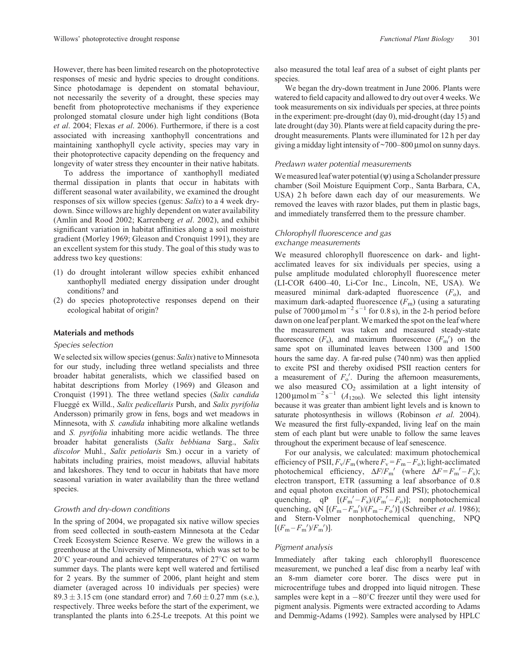However, there has been limited research on the photoprotective responses of mesic and hydric species to drought conditions. Since photodamage is dependent on stomatal behaviour, not necessarily the severity of a drought, these species may benefit from photoprotective mechanisms if they experience prolonged stomatal closure under high light conditions ([Bota](#page-8-0) *et al*[. 2004;](#page-8-0) Flexas *et al*[. 2006\)](#page-8-0). Furthermore, if there is a cost associated with increasing xanthophyll concentrations and maintaining xanthophyll cycle activity, species may vary in their photoprotective capacity depending on the frequency and longevity of water stress they encounter in their native habitats.

To address the importance of xanthophyll mediated thermal dissipation in plants that occur in habitats with different seasonal water availability, we examined the drought responses of six willow species (genus: *Salix*) to a 4 week drydown. Since willows are highly dependent on water availability ([Amlin and Rood 2002;](#page-7-0) [Karrenberg](#page-8-0) *et al*. 2002), and exhibit significant variation in habitat affinities along a soil moisture gradient [\(Morley 1969](#page-8-0); [Gleason and Cronquist 1991](#page-8-0)), they are an excellent system for this study. The goal of this study was to address two key questions:

- (1) do drought intolerant willow species exhibit enhanced xanthophyll mediated energy dissipation under drought conditions? and
- (2) do species photoprotective responses depend on their ecological habitat of origin?

#### **Materials and methods**

#### *Species selection*

We selected six willow species (genus: *Salix*) native to Minnesota for our study, including three wetland specialists and three broader habitat generalists, which we classified based on habitat descriptions from [Morley \(1969\)](#page-8-0) and [Gleason and](#page-8-0) [Cronquist \(1991\)](#page-8-0). The three wetland species (*Salix candida* Flueggé ex Willd., *Salix pedicellaris* Pursh, and *Salix pyrifolia* Andersson) primarily grow in fens, bogs and wet meadows in Minnesota, with *S. candida* inhabiting more alkaline wetlands and *S. pyrifolia* inhabiting more acidic wetlands. The three broader habitat generalists (*Salix bebbiana* Sarg., *Salix discolor* Muhl., *Salix petiolaris* Sm.) occur in a variety of habitats including prairies, moist meadows, alluvial habitats and lakeshores. They tend to occur in habitats that have more seasonal variation in water availability than the three wetland species.

#### *Growth and dry-down conditions*

In the spring of 2004, we propagated six native willow species from seed collected in south-eastern Minnesota at the Cedar Creek Ecosystem Science Reserve. We grew the willows in a greenhouse at the University of Minnesota, which was set to be 20 C year-round and achieved temperatures of 27 C on warm summer days. The plants were kept well watered and fertilised for 2 years. By the summer of 2006, plant height and stem diameter (averaged across 10 individuals per species) were 89.3  $\pm$  3.15 cm (one standard error) and 7.60  $\pm$  0.27 mm (s.e.), respectively. Three weeks before the start of the experiment, we transplanted the plants into 6.25-Le treepots. At this point we

also measured the total leaf area of a subset of eight plants per species.

We began the dry-down treatment in June 2006. Plants were watered to field capacity and allowed to dry out over 4 weeks. We took measurements on six individuals per species, at three points in the experiment: pre-drought (day 0), mid-drought (day 15) and late drought (day 30). Plants were at field capacity during the predrought measurements. Plants were illuminated for 12 h per day giving a midday light intensity of  $\sim$ 700–800 µmol on sunny days.

#### *Predawn water potential measurements*

We measured leaf water potential  $(\psi)$  using a Scholander pressure chamber (Soil Moisture Equipment Corp., Santa Barbara, CA, USA) 2 h before dawn each day of our measurements. We removed the leaves with razor blades, put them in plastic bags, and immediately transferred them to the pressure chamber.

## *Chlorophyll fluorescence and gas exchange measurements*

We measured chlorophyll fluorescence on dark- and lightacclimated leaves for six individuals per species, using a pulse amplitude modulated chlorophyll fluorescence meter (LI-COR 6400–40, Li-Cor Inc., Lincoln, NE, USA). We measured minimal dark-adapted fluorescence  $(F<sub>o</sub>)$ , and maximum dark-adapted fluorescence  $(F<sub>m</sub>)$  (using a saturating pulse of  $7000 \mu \text{mol m}^{-2} \text{s}^{-1}$  for 0.8 s), in the 2-h period before dawn on one leaf per plant.We marked the spot on the leaf where the measurement was taken and measured steady-state fluorescence  $(F_s)$ , and maximum fluorescence  $(F_m')$  on the same spot on illuminated leaves between 1300 and 1500 hours the same day. A far-red pulse (740 nm) was then applied to excite PSI and thereby oxidised PSII reaction centers for a measurement of  $F_o'$ . During the afternoon measurements, we also measured  $CO<sub>2</sub>$  assimilation at a light intensity of 1200  $\mu$ mol m<sup>-2</sup> s<sup>-1</sup> ( $A_{1200}$ ). We selected this light intensity because it was greater than ambient light levels and is known to saturate photosynthesis in willows [\(Robinson](#page-9-0) *et al*. 2004). We measured the first fully-expanded, living leaf on the main stem of each plant but were unable to follow the same leaves throughout the experiment because of leaf senescence.

For our analysis, we calculated: maximum photochemical efficiency of PSII,  $F_v/F_m$  (where  $F_v = F_m - F_o$ ); light-acclimated photochemical efficiency,  $\Delta F/F_{\text{m}}'$  (where  $\Delta F = F_{\text{m}}' - F_{\text{s}}$ ); electron transport, ETR (assuming a leaf absorbance of 0.8 and equal photon excitation of PSII and PSI); photochemical quenching, qP  $[(F_m' - F_s)/(F_m' - F_o)]$ ; nonphotochemical quenching, qN  $[(F_m - F_m')/(F_m - F_o')]$  [\(Schreiber](#page-9-0) *et al.* 1986); and Stern-Volmer nonphotochemical quenching, NPQ  $[(F_m - F_m')/F_m']$ .

## *Pigment analysis*

Immediately after taking each chlorophyll fluorescence measurement, we punched a leaf disc from a nearby leaf with an 8-mm diameter core borer. The discs were put in microcentrifuge tubes and dropped into liquid nitrogen. These samples were kept in a  $-80^{\circ}$ C freezer until they were used for pigment analysis. Pigments were extracted according to [Adams](#page-7-0) [and Demmig-Adams \(1992\)](#page-7-0). Samples were analysed by HPLC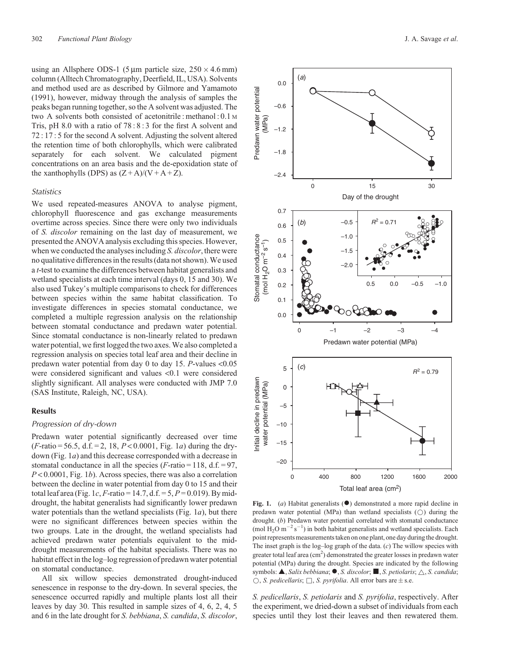<span id="page-2-0"></span>using an Allsphere ODS-1 (5  $\mu$ m particle size, 250  $\times$  4.6 mm) column (Alltech Chromatography, Deerfield, IL, USA). Solvents and method used are as described by [Gilmore and Yamamoto](#page-8-0) [\(1991\),](#page-8-0) however, midway through the analysis of samples the peaks began running together, so the A solvent was adjusted. The two A solvents both consisted of acetonitrile : methanol : 0.1 <sup>M</sup> Tris, pH 8.0 with a ratio of 78 : 8 : 3 for the first A solvent and 72 : 17 : 5 for the second A solvent. Adjusting the solvent altered the retention time of both chlorophylls, which were calibrated separately for each solvent. We calculated pigment concentrations on an area basis and the de-epoxidation state of the xanthophylls (DPS) as  $(Z + A)/(V + A + Z)$ .

# *Statistics*

We used repeated-measures ANOVA to analyse pigment, chlorophyll fluorescence and gas exchange measurements overtime across species. Since there were only two individuals of *S. discolor* remaining on the last day of measurement, we presented the ANOVA analysis excluding this species. However, when we conducted the analyses including *S. discolor*, there were no qualitative differences in the results (data not shown).We used a *t*-test to examine the differences between habitat generalists and wetland specialists at each time interval (days 0, 15 and 30). We also used Tukey's multiple comparisons to check for differences between species within the same habitat classification. To investigate differences in species stomatal conductance, we completed a multiple regression analysis on the relationship between stomatal conductance and predawn water potential. Since stomatal conductance is non-linearly related to predawn water potential, we first logged the two axes. We also completed a regression analysis on species total leaf area and their decline in predawn water potential from day 0 to day 15. *P*-values <0.05 were considered significant and values <0.1 were considered slightly significant. All analyses were conducted with JMP 7.0 (SAS Institute, Raleigh, NC, USA).

# **Results**

#### *Progression of dry-down*

Predawn water potential significantly decreased over time  $(F\text{-ratio} = 56.5, d.f. = 2, 18, P < 0.0001, Fig. 1*a*) during the dry$ down (Fig. 1*a*) and this decrease corresponded with a decrease in stomatal conductance in all the species  $(F\text{-ratio} = 118, d.f. = 97,$ *P* < 0.0001, Fig. 1*b*). Across species, there was also a correlation between the decline in water potential from day 0 to 15 and their total leaf area (Fig. 1*c*, *F*-ratio = 14.7, d.f. = 5,  $P = 0.019$ ). By middrought, the habitat generalists had significantly lower predawn water potentials than the wetland specialists (Fig. 1*a*), but there were no significant differences between species within the two groups. Late in the drought, the wetland specialists had achieved predawn water potentials equivalent to the middrought measurements of the habitat specialists. There was no habitat effect in the log–log regression of predawn water potential on stomatal conductance.

All six willow species demonstrated drought-induced senescence in response to the dry-down. In several species, the senescence occurred rapidly and multiple plants lost all their leaves by day 30. This resulted in sample sizes of 4, 6, 2, 4, 5 and 6 in the late drought for *S. bebbiana*, *S. candida*, *S. discolor*,



**Fig. 1.** (*a*) Habitat generalists ( $\bullet$ ) demonstrated a more rapid decline in predawn water potential (MPa) than wetland specialists  $(\bigcirc)$  during the drought. (*b*) Predawn water potential correlated with stomatal conductance (mol H<sub>2</sub>O m<sup>-2</sup> s<sup>-1</sup>) in both habitat generalists and wetland specialists. Each point represents measurements taken on one plant, one day during the drought. The inset graph is the log–log graph of the data. (*c*) The willow species with greater total leaf area  $(cm<sup>2</sup>)$  demonstrated the greater losses in predawn water potential (MPa) during the drought. Species are indicated by the following symbols:  $\blacktriangle$ , *Salix bebbiana*;  $\blacktriangleright$ , *S. discolor*;  $\blacksquare$ , *S. petiolaris*;  $\triangle$ , *S. candida*;  $\circlearrowright$ , *S. pedicellaris*;  $\Box$ , *S. pyrifolia*. All error bars are  $\pm$  s.e.

*S. pedicellaris*, *S. petiolaris* and *S. pyrifolia*, respectively. After the experiment, we dried-down a subset of individuals from each species until they lost their leaves and then rewatered them.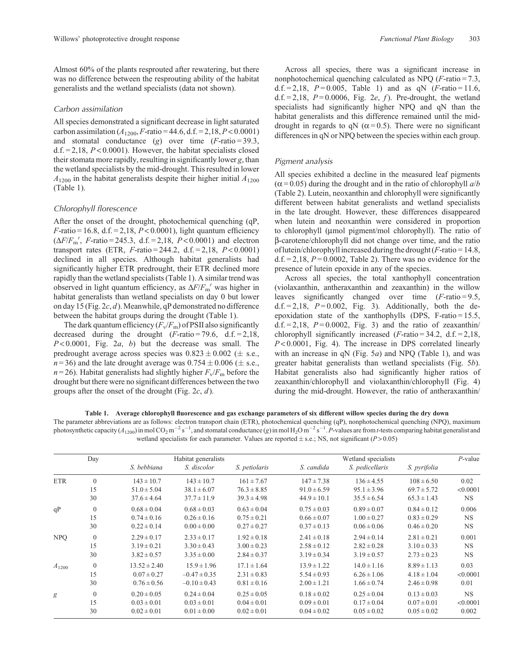<span id="page-3-0"></span>Almost 60% of the plants resprouted after rewatering, but there was no difference between the resprouting ability of the habitat generalists and the wetland specialists (data not shown).

## *Carbon assimilation*

All species demonstrated a significant decrease in light saturated carbon assimilation  $(A_{1200}, F\text{-ratio} = 44.6, d.f. = 2,18, P < 0.0001)$ and stomatal conductance (*g*) over time (*F*-ratio = 39.3, d.f.  $= 2,18$ ,  $P < 0.0001$ ). However, the habitat specialists closed their stomata more rapidly, resulting in significantly lower *g*, than the wetland specialists by the mid-drought. This resulted in lower  $A_{1200}$  in the habitat generalists despite their higher initial  $A_{1200}$ (Table 1).

## *Chlorophyll florescence*

After the onset of the drought, photochemical quenching (qP, *F*-ratio = 16.8, d.f. = 2,18, *P* < 0.0001), light quantum efficiency  $(\Delta F/F_{\rm m}'$ , *F*-ratio = 245.3, d.f. = 2,18, *P* < 0.0001) and electron transport rates (ETR, *F*-ratio = 244.2, d.f. = 2,18, *P* < 0.0001) declined in all species. Although habitat generalists had significantly higher ETR predrought, their ETR declined more rapidly than the wetland specialists (Table 1). A similar trend was observed in light quantum efficiency, as  $\Delta F/F_{\text{m}}'$  was higher in habitat generalists than wetland specialists on day 0 but lower on day 15 [\(Fig. 2](#page-4-0)*c*, *d*).Meanwhile, qP demonstrated no difference between the habitat groups during the drought (Table 1).

The dark quantum efficiency  $(F_v/F_m)$  of PSII also significantly decreased during the drought  $(F\text{-ratio} = 79.6, d.f. = 2.18,$ *P* < 0.0001, [Fig. 2](#page-4-0)*a*, *b*) but the decrease was small. The predrought average across species was  $0.823 \pm 0.002$  ( $\pm$  s.e.,  $n=36$ ) and the late drought average was  $0.754 \pm 0.006$  ( $\pm$  s.e.,  $n = 26$ ). Habitat generalists had slightly higher  $F_v/F_m$  before the drought but there were no significant differences between the two groups after the onset of the drought [\(Fig. 2](#page-4-0)*c*, *d*).

Across all species, there was a significant increase in nonphotochemical quenching calculated as NPQ (*F*-ratio = 7.3, d.f. = 2,18,  $P = 0.005$ , Table 1) and as qN ( $F$ -ratio = 11.6, d.f.  $= 2.18$ ,  $P = 0.0006$ , [Fig. 2](#page-4-0)*e*, *f*). Pre-drought, the wetland specialists had significantly higher NPQ and qN than the habitat generalists and this difference remained until the middrought in regards to qN ( $\alpha$ =0.5). There were no significant differences in qN or NPQ between the species within each group.

#### *Pigment analysis*

All species exhibited a decline in the measured leaf pigments  $(\alpha = 0.05)$  during the drought and in the ratio of chlorophyll  $a/b$ [\(Table 2\)](#page-4-0). Lutein, neoxanthin and chlorophyll were significantly different between habitat generalists and wetland specialists in the late drought. However, these differences disappeared when lutein and neoxanthin were considered in proportion to chlorophyll (umol pigment/mol chlorophyll). The ratio of b-carotene/chlorophyll did not change over time, and the ratio of lutein/chlorophyll increased during the drought  $(F\text{-ratio} = 14.8$ ,  $d.f. = 2,18$ ,  $P = 0.0002$ , [Table 2\)](#page-4-0). There was no evidence for the presence of lutein epoxide in any of the species.

Across all species, the total xanthophyll concentration (violaxanthin, antheraxanthin and zeaxanthin) in the willow leaves significantly changed over time (*F*-ratio = 9.5, d.f.  $= 2,18$ ,  $P = 0.002$ , [Fig. 3\)](#page-5-0). Additionally, both the deepoxidation state of the xanthophylls (DPS, F-ratio =  $15.5$ , d.f.  $= 2,18$ ,  $P = 0.0002$ , [Fig. 3\)](#page-5-0) and the ratio of zeaxanthin/ chlorophyll significantly increased  $(F\text{-ratio} = 34.2, d.f. = 2.18,$ *P* < 0.0001, [Fig. 4\)](#page-5-0). The increase in DPS correlated linearly with an increase in qN [\(Fig. 5](#page-6-0)*a*) and NPQ (Table 1), and was greater habitat generalists than wetland specialists [\(Fig. 5](#page-6-0)*b*). Habitat generalists also had significantly higher ratios of zeaxanthin/chlorophyll and violaxanthin/chlorophyll ([Fig. 4](#page-5-0)) during the mid-drought. However, the ratio of antheraxanthin/

#### **Table 1. Average chlorophyll fluorescence and gas exchange parameters of six different willow species during the dry down**

The parameter abbreviations are as follows: electron transport chain (ETR), photochemical quenching (qP), nonphotochemical quenching (NPQ), maximum photosynthetic capacity ( $A_{1200}$ ) in mol CO<sub>2</sub> m<sup>-2</sup> s<sup>-1</sup>, and stomatal conductance (g) in mol H<sub>2</sub>O m<sup>-2</sup> s<sup>-1</sup>. *P*-values are from *t*-tests comparing habitat generalist and wetland specialists for each parameter. Values are reported  $\pm$  s.e.; NS, not significant ( $P > 0.05$ )

|            | Day            | Habitat generalists |                  |                 | Wetland specialists |                 |                     | $P$ -value |
|------------|----------------|---------------------|------------------|-----------------|---------------------|-----------------|---------------------|------------|
|            |                | S. bebbiana         | S. discolor      | S. petiolaris   | S. candida          | S. pedicellaris | S. <i>pyrifolia</i> |            |
| <b>ETR</b> | $\overline{0}$ | $143 \pm 10.7$      | $143 \pm 10.7$   | $161 \pm 7.67$  | $147 \pm 7.38$      | $136 \pm 4.55$  | $108 \pm 6.50$      | 0.02       |
|            | 15             | $51.0 \pm 5.04$     | $38.1 \pm 6.07$  | $76.3 \pm 8.85$ | $91.0 \pm 6.59$     | $95.1 \pm 3.96$ | $69.7 \pm 5.72$     | < 0.0001   |
|            | 30             | $37.6 \pm 4.64$     | $37.7 \pm 11.9$  | $39.3 \pm 4.98$ | $44.9 \pm 10.1$     | $35.5 \pm 6.54$ | $65.3 \pm 1.43$     | <b>NS</b>  |
| qP         | $\overline{0}$ | $0.68 \pm 0.04$     | $0.68 \pm 0.03$  | $0.63 \pm 0.04$ | $0.75 \pm 0.03$     | $0.89 \pm 0.07$ | $0.84 \pm 0.12$     | 0.006      |
|            | 15             | $0.74 \pm 0.16$     | $0.26 \pm 0.16$  | $0.75 \pm 0.21$ | $0.66 \pm 0.07$     | $1.00 \pm 0.27$ | $0.83 \pm 0.29$     | <b>NS</b>  |
|            | 30             | $0.22 \pm 0.14$     | $0.00 \pm 0.00$  | $0.27 \pm 0.27$ | $0.37 \pm 0.13$     | $0.06 \pm 0.06$ | $0.46 \pm 0.20$     | NS.        |
| <b>NPO</b> | $\theta$       | $2.29 \pm 0.17$     | $2.33 \pm 0.17$  | $1.92 \pm 0.18$ | $2.41 \pm 0.18$     | $2.94 \pm 0.14$ | $2.81 \pm 0.21$     | 0.001      |
|            | 15             | $3.19 \pm 0.21$     | $3.30 \pm 0.43$  | $3.00 \pm 0.23$ | $2.58 \pm 0.12$     | $2.82 \pm 0.28$ | $3.10 \pm 0.33$     | NS.        |
|            | 30             | $3.82 \pm 0.57$     | $3.35 \pm 0.00$  | $2.84 \pm 0.37$ | $3.19 \pm 0.34$     | $3.19 \pm 0.57$ | $2.73 \pm 0.23$     | <b>NS</b>  |
| $A_{1200}$ | $\overline{0}$ | $13.52 \pm 2.40$    | $15.9 \pm 1.96$  | $17.1 \pm 1.64$ | $13.9 \pm 1.22$     | $14.0 \pm 1.16$ | $8.89 \pm 1.13$     | 0.03       |
|            | 15             | $0.07 \pm 0.27$     | $-0.47 \pm 0.35$ | $2.31 \pm 0.83$ | $5.54 \pm 0.93$     | $6.26 \pm 1.06$ | $4.18 \pm 1.04$     | < 0.0001   |
|            | 30             | $0.76 \pm 0.56$     | $-0.10 \pm 0.43$ | $0.81 \pm 0.16$ | $2.00 \pm 1.21$     | $1.66 \pm 0.74$ | $2.46 \pm 0.98$     | 0.01       |
| g          | $\overline{0}$ | $0.20 \pm 0.05$     | $0.24 \pm 0.04$  | $0.25 \pm 0.05$ | $0.18 \pm 0.02$     | $0.25 \pm 0.04$ | $0.13 \pm 0.03$     | <b>NS</b>  |
|            | 15             | $0.03 \pm 0.01$     | $0.03 \pm 0.01$  | $0.04 \pm 0.01$ | $0.09 \pm 0.01$     | $0.17 \pm 0.04$ | $0.07 \pm 0.01$     | < 0.0001   |
|            | 30             | $0.02 \pm 0.01$     | $0.01 \pm 0.00$  | $0.02 \pm 0.01$ | $0.04 \pm 0.02$     | $0.05 \pm 0.02$ | $0.05 \pm 0.02$     | 0.002      |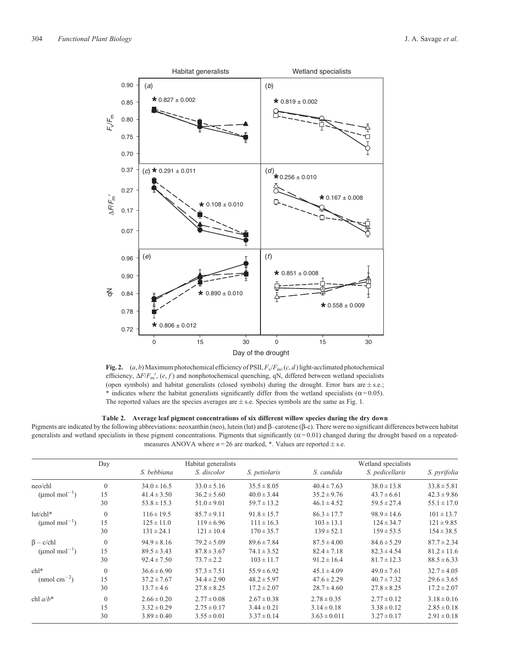<span id="page-4-0"></span>

**Fig. 2.**  $(a, b)$  Maximum photochemical efficiency of PSII,  $F_v/F_m$ ,  $(c, d)$  light-acclimated photochemical efficiency,  $\Delta F/F_{\text{m}}'$ ,  $(e, f)$  and nonphotochemical quenching, qN, differed between wetland specialists (open symbols) and habitat generalists (closed symbols) during the drought. Error bars are  $\pm$  s.e.; \* indicates where the habitat generalists significantly differ from the wetland specialists ( $\alpha$ =0.05). The reported values are the species averages are  $\pm$  s.e. Species symbols are the same as [Fig. 1.](#page-2-0)

# **Table 2. Average leaf pigment concentrations of six different willow species during the dry down**

Pigments are indicated by the following abbreviations: neoxanthin (neo), lutein (lut) and  $\beta$ –carotene  $(\beta$ -c). There were no significant differences between habitat generalists and wetland specialists in these pigment concentrations. Pigments that significantly  $(\alpha = 0.01)$  changed during the drought based on a repeatedmeasures ANOVA where  $n = 26$  are marked,  $*$ . Values are reported  $\pm$  s.e.

|                                 | Day            | S. bebbiana     | Habitat generalists<br>S. discolor | S. petiolaris   | S. candida       | Wetland specialists<br>S. pedicellaris | S. pyrifolia    |
|---------------------------------|----------------|-----------------|------------------------------------|-----------------|------------------|----------------------------------------|-----------------|
| neo/chl                         | $\mathbf{0}$   | $34.0 \pm 16.5$ | $33.0 \pm 5.16$                    | $35.5 \pm 8.05$ | $40.4 \pm 7.63$  | $38.0 \pm 13.8$                        | $33.8 \pm 5.81$ |
| (umol mol <sup>-1</sup> )       | 15             | $41.4 \pm 3.50$ | $36.2 \pm 5.60$                    | $40.0 \pm 3.44$ | $35.2 \pm 9.76$  | $43.7 \pm 6.61$                        | $42.3 \pm 9.86$ |
|                                 | 30             | $53.8 \pm 15.3$ | $51.0 \pm 9.01$                    | $59.7 \pm 13.2$ | $46.1 \pm 4.52$  | $59.5 \pm 27.4$                        | $55.1 \pm 17.0$ |
| $lut/chl*$                      | $\mathbf{0}$   | $116 \pm 19.5$  | $85.7 \pm 9.11$                    | $91.8 \pm 15.7$ | $86.3 \pm 17.7$  | $98.9 \pm 14.6$                        | $101 \pm 13.7$  |
| ( $\mu$ mol mol <sup>-1</sup> ) | 15             | $125 \pm 11.0$  | $119 \pm 6.96$                     | $111 \pm 16.3$  | $103 \pm 13.1$   | $124 \pm 34.7$                         | $121 \pm 9.85$  |
|                                 | 30             | $131 \pm 24.1$  | $121 \pm 10.4$                     | $170 \pm 35.7$  | $139 \pm 52.1$   | $159 \pm 53.5$                         | $154 \pm 38.5$  |
| $\beta - c$ /chl                | $\overline{0}$ | $94.9 \pm 8.16$ | $79.2 \pm 5.09$                    | $89.6 \pm 7.84$ | $87.5 \pm 4.00$  | $84.6 \pm 5.29$                        | $87.7 \pm 2.34$ |
| (umol mol <sup>-1</sup> )       | 15             | $89.5 \pm 3.43$ | $87.8 \pm 3.67$                    | $74.1 \pm 3.52$ | $82.4 \pm 7.18$  | $82.3 \pm 4.54$                        | $81.2 \pm 11.6$ |
|                                 | 30             | $92.4 \pm 7.50$ | $73.7 \pm 2.2$                     | $103 \pm 11.7$  | $91.2 \pm 16.4$  | $81.7 \pm 12.3$                        | $88.5 \pm 6.33$ |
| $\text{ch}1*$                   | $\mathbf{0}$   | $36.6 \pm 6.90$ | $57.3 \pm 7.51$                    | $55.9 \pm 6.92$ | $45.1 \pm 4.09$  | $49.0 \pm 7.61$                        | $32.7 \pm 4.05$ |
| $\text{(nmol cm}^{-2})$         | 15             | $37.2 \pm 7.67$ | $34.4 \pm 2.90$                    | $48.2 \pm 5.97$ | $47.6 \pm 2.29$  | $40.7 \pm 7.32$                        | $29.6 \pm 3.65$ |
|                                 | 30             | $13.7 \pm 4.6$  | $27.8 \pm 8.25$                    | $17.2 \pm 2.07$ | $28.7 \pm 4.60$  | $27.8 \pm 8.25$                        | $17.2 \pm 2.07$ |
| chl $a/b^*$                     | $\mathbf{0}$   | $2.66 \pm 0.20$ | $2.77 \pm 0.08$                    | $2.67 \pm 0.38$ | $2.78 \pm 0.35$  | $2.77 \pm 0.12$                        | $3.18 \pm 0.16$ |
|                                 | 15             | $3.32 \pm 0.29$ | $2.75 \pm 0.17$                    | $3.44 \pm 0.21$ | $3.14 \pm 0.18$  | $3.38 \pm 0.12$                        | $2.85 \pm 0.18$ |
|                                 | 30             | $3.89 \pm 0.40$ | $3.55 \pm 0.01$                    | $3.37 \pm 0.14$ | $3.63 \pm 0.011$ | $3.27 \pm 0.17$                        | $2.91 \pm 0.18$ |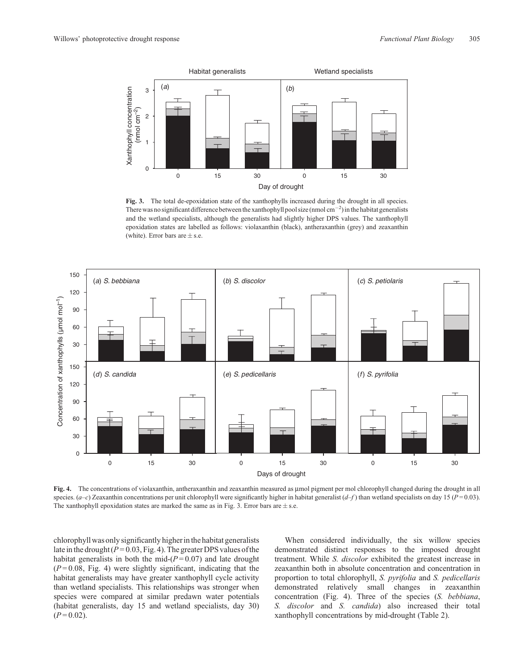<span id="page-5-0"></span>

Fig. 3. The total de-epoxidation state of the xanthophylls increased during the drought in all species. There was no significant difference between the xanthophyll pool size (nmol cm<sup>-2</sup>) in the habitat generalists and the wetland specialists, although the generalists had slightly higher DPS values. The xanthophyll epoxidation states are labelled as follows: violaxanthin (black), antheraxanthin (grey) and zeaxanthin (white). Error bars are  $\pm$  s.e.



Fig. 4. The concentrations of violaxanthin, antheraxanthin and zeaxanthin measured as umol pigment per mol chlorophyll changed during the drought in all species.  $(a-c)$  Zeaxanthin concentrations per unit chlorophyll were significantly higher in habitat generalist  $(d-f)$  than wetland specialists on day 15 ( $P = 0.03$ ). The xanthophyll epoxidation states are marked the same as in Fig. 3. Error bars are  $\pm$  s.e.

chlorophyll was only significantly higher in the habitat generalists late in the drought  $(P = 0.03, Fig. 4)$ . The greater DPS values of the habitat generalists in both the mid- $(P=0.07)$  and late drought  $(P=0.08,$  Fig. 4) were slightly significant, indicating that the habitat generalists may have greater xanthophyll cycle activity than wetland specialists. This relationships was stronger when species were compared at similar predawn water potentials (habitat generalists, day 15 and wetland specialists, day 30)  $(P=0.02)$ .

When considered individually, the six willow species demonstrated distinct responses to the imposed drought treatment. While *S. discolor* exhibited the greatest increase in zeaxanthin both in absolute concentration and concentration in proportion to total chlorophyll, *S. pyrifolia* and *S. pedicellaris* demonstrated relatively small changes in zeaxanthin concentration (Fig. 4). Three of the species (*S. bebbiana*, *S. discolor* and *S. candida*) also increased their total xanthophyll concentrations by mid-drought ([Table 2\)](#page-4-0).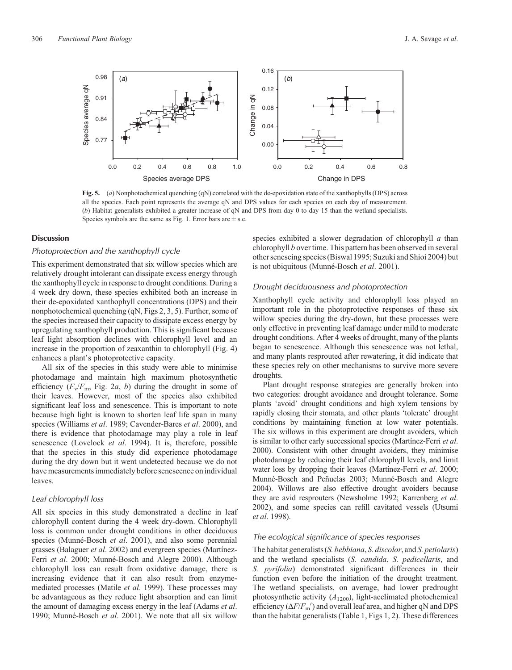<span id="page-6-0"></span>

**Fig. 5.** (*a*) Nonphotochemical quenching (qN) correlated with the de-epoxidation state of the xanthophylls (DPS) across all the species. Each point represents the average qN and DPS values for each species on each day of measurement. (*b*) Habitat generalists exhibited a greater increase of qN and DPS from day 0 to day 15 than the wetland specialists. Species symbols are the same as [Fig. 1.](#page-2-0) Error bars are  $\pm$  s.e.

## **Discussion**

# *Photoprotection and the xanthophyll cycle*

This experiment demonstrated that six willow species which are relatively drought intolerant can dissipate excess energy through the xanthophyll cycle in response to drought conditions. During a 4 week dry down, these species exhibited both an increase in their de-epoxidated xanthophyll concentrations (DPS) and their nonphotochemical quenching (qN, [Figs 2](#page-4-0), [3,](#page-5-0) 5). Further, some of the species increased their capacity to dissipate excess energy by upregulating xanthophyll production. This is significant because leaf light absorption declines with chlorophyll level and an increase in the proportion of zeaxanthin to chlorophyll [\(Fig. 4\)](#page-5-0) enhances a plant's photoprotective capacity.

All six of the species in this study were able to minimise photodamage and maintain high maximum photosynthetic efficiency  $(F_v/F_m, Fig. 2a, b)$  $(F_v/F_m, Fig. 2a, b)$  $(F_v/F_m, Fig. 2a, b)$  during the drought in some of their leaves. However, most of the species also exhibited significant leaf loss and senescence. This is important to note because high light is known to shorten leaf life span in many species [\(Williams](#page-9-0) *et al*. 1989; [Cavender-Bares](#page-8-0) *et al*. 2000), and there is evidence that photodamage may play a role in leaf senescence [\(Lovelock](#page-8-0) *et al*. 1994). It is, therefore, possible that the species in this study did experience photodamage during the dry down but it went undetected because we do not have measurements immediately before senescence on individual leaves.

#### *Leaf chlorophyll loss*

All six species in this study demonstrated a decline in leaf chlorophyll content during the 4 week dry-down. Chlorophyll loss is common under drought conditions in other deciduous species ([Munné-Bosch](#page-8-0) *et al*. 2001), and also some perennial grasses [\(Balaguer](#page-7-0) *et al*. 2002) and evergreen species [\(Martínez-](#page-8-0)Ferri *et al*[. 2000; Munné-Bosch and Alegre 2000](#page-8-0)). Although chlorophyll loss can result from oxidative damage, there is increasing evidence that it can also result from enzymemediated processes (Matile *et al*[. 1999](#page-8-0)). These processes may be advantageous as they reduce light absorption and can limit the amount of damaging excess energy in the leaf [\(Adams](#page-7-0) *et al*. [1990;](#page-7-0) [Munné-Bosch](#page-8-0) *et al*. 2001). We note that all six willow

species exhibited a slower degradation of chlorophyll *a* than chlorophyll *b* over time. This pattern has been observed in several other senescing species ([Biswal 1995;](#page-8-0) [Suzuki and Shioi 2004](#page-9-0)) but is not ubiquitous ([Munné-Bosch](#page-8-0) *et al*. 2001).

#### *Drought deciduousness and photoprotection*

Xanthophyll cycle activity and chlorophyll loss played an important role in the photoprotective responses of these six willow species during the dry-down, but these processes were only effective in preventing leaf damage under mild to moderate drought conditions. After 4 weeks of drought, many of the plants began to senescence. Although this senescence was not lethal, and many plants resprouted after rewatering, it did indicate that these species rely on other mechanisms to survive more severe droughts.

Plant drought response strategies are generally broken into two categories: drought avoidance and drought tolerance. Some plants 'avoid' drought conditions and high xylem tensions by rapidly closing their stomata, and other plants 'tolerate' drought conditions by maintaining function at low water potentials. The six willows in this experiment are drought avoiders, which is similar to other early successional species [\(Martínez-Ferri](#page-8-0) *et al*. [2000](#page-8-0)). Consistent with other drought avoiders, they minimise photodamage by reducing their leaf chlorophyll levels, and limit water loss by dropping their leaves ([Martínez-Ferri](#page-8-0) *et al*. 2000; [Munné-Bosch and Peñuelas 2003](#page-8-0); [Munné-Bosch and Alegre](#page-8-0) [2004](#page-8-0)). Willows are also effective drought avoiders because they are avid resprouters [\(Newsholme 1992](#page-9-0); [Karrenberg](#page-8-0) *et al*. [2002](#page-8-0)), and some species can refill cavitated vessels ([Utsumi](#page-9-0) *et al*[. 1998\)](#page-9-0).

## *The ecological significance of species responses*

The habitat generalists (*S. bebbiana*, *S. discolor*, and *S. petiolaris*) and the wetland specialists (*S. candida*, *S. pedicellaris*, and *S. pyrifolia*) demonstrated significant differences in their function even before the initiation of the drought treatment. The wetland specialists, on average, had lower predrought photosynthetic activity  $(A_{1200})$ , light-acclimated photochemical efficiency  $(\Delta F/F_{\rm m}^{\prime})$  and overall leaf area, and higher qN and DPS than the habitat generalists ([Table 1,](#page-3-0) [Figs 1](#page-2-0), [2](#page-4-0)). These differences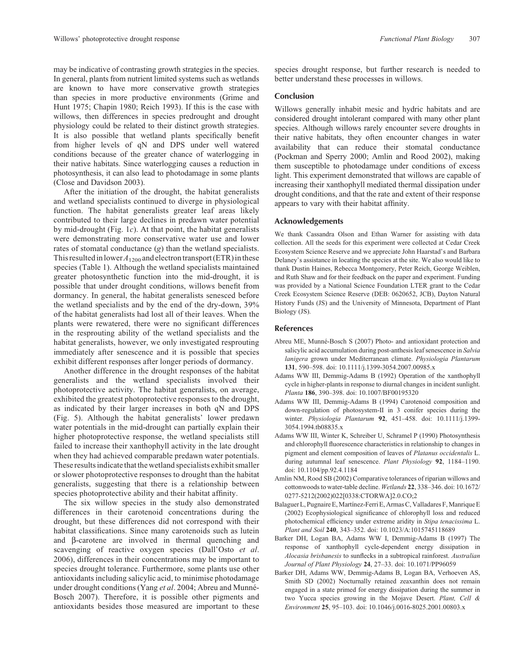[\(Close and Davidson 2003](#page-8-0)).

<span id="page-7-0"></span>may be indicative of contrasting growth strategies in the species. In general, plants from nutrient limited systems such as wetlands are known to have more conservative growth strategies than species in more productive environments ([Grime and](#page-8-0) [Hunt 1975](#page-8-0); [Chapin 1980](#page-8-0); [Reich 1993\)](#page-9-0). If this is the case with willows, then differences in species predrought and drought physiology could be related to their distinct growth strategies. It is also possible that wetland plants specifically benefit from higher levels of qN and DPS under well watered conditions because of the greater chance of waterlogging in their native habitats. Since waterlogging causes a reduction in photosynthesis, it can also lead to photodamage in some plants

After the initiation of the drought, the habitat generalists and wetland specialists continued to diverge in physiological function. The habitat generalists greater leaf areas likely contributed to their large declines in predawn water potential by mid-drought [\(Fig. 1](#page-2-0)*c*). At that point, the habitat generalists were demonstrating more conservative water use and lower rates of stomatal conductance (*g*) than the wetland specialists. This resulted in lower  $A_{1200}$  and electron transport (ETR) in these species [\(Table 1](#page-3-0)). Although the wetland specialists maintained greater photosynthetic function into the mid-drought, it is possible that under drought conditions, willows benefit from dormancy. In general, the habitat generalists senesced before the wetland specialists and by the end of the dry-down, 39% of the habitat generalists had lost all of their leaves. When the plants were rewatered, there were no significant differences in the resprouting ability of the wetland specialists and the habitat generalists, however, we only investigated resprouting immediately after senescence and it is possible that species exhibit different responses after longer periods of dormancy.

Another difference in the drought responses of the habitat generalists and the wetland specialists involved their photoprotective activity. The habitat generalists, on average, exhibited the greatest photoprotective responses to the drought, as indicated by their larger increases in both qN and DPS ([Fig. 5\)](#page-6-0). Although the habitat generalists' lower predawn water potentials in the mid-drought can partially explain their higher photoprotective response, the wetland specialists still failed to increase their xanthophyll activity in the late drought when they had achieved comparable predawn water potentials. These results indicate that the wetland specialists exhibit smaller or slower photoprotective responses to drought than the habitat generalists, suggesting that there is a relationship between species photoprotective ability and their habitat affinity.

The six willow species in the study also demonstrated differences in their carotenoid concentrations during the drought, but these differences did not correspond with their habitat classifications. Since many carotenoids such as lutein and b-carotene are involved in thermal quenching and scavenging of reactive oxygen species [\(Dall](#page-8-0)'Osto *[et al](#page-8-0)*. [2006\)](#page-8-0), differences in their concentrations may be important to species drought tolerance. Furthermore, some plants use other antioxidants including salicylic acid, to minimise photodamage under drought conditions (Yang *et al*[. 2004](#page-9-0); Abreu and Munné-Bosch 2007). Therefore, it is possible other pigments and antioxidants besides those measured are important to these

## **Conclusion**

Willows generally inhabit mesic and hydric habitats and are considered drought intolerant compared with many other plant species. Although willows rarely encounter severe droughts in their native habitats, they often encounter changes in water availability that can reduce their stomatal conductance [\(Pockman and Sperry 2000](#page-9-0); Amlin and Rood 2002), making them susceptible to photodamage under conditions of excess light. This experiment demonstrated that willows are capable of increasing their xanthophyll mediated thermal dissipation under drought conditions, and that the rate and extent of their response appears to vary with their habitat affinity.

#### **Acknowledgements**

We thank Cassandra Olson and Ethan Warner for assisting with data collection. All the seeds for this experiment were collected at Cedar Creek Ecosystem Science Reserve and we appreciate John Haarstad's and Barbara Delaney's assistance in locating the species at the site. We also would like to thank Dustin Haines, Rebecca Montgomery, Peter Reich, George Weiblen, and Ruth Shaw and for their feedback on the paper and experiment. Funding was provided by a National Science Foundation LTER grant to the Cedar Creek Ecosystem Science Reserve (DEB: 0620652, JCB), Dayton Natural History Funds (JS) and the University of Minnesota, Department of Plant Biology (JS).

# **References**

- Abreu ME, Munné-Bosch S (2007) Photo- and antioxidant protection and salicylic acid accumulation during post-anthesis leaf senescence in *Salvia lanigera* grown under Mediterranean climate. *Physiologia Plantarum* **131**, 590–598. doi: 10.1111/j.1399-3054.2007.00985.x
- Adams WW III, Demmig-Adams B (1992) Operation of the xanthophyll cycle in higher-plants in response to diurnal changes in incident sunlight. *Planta* **186**, 390–398. doi: 10.1007/BF00195320
- Adams WW III, Demmig-Adams B (1994) Carotenoid composition and down-regulation of photosystem-II in 3 conifer species during the winter. *Physiologia Plantarum* **92**, 451–458. doi: 10.1111/j.1399- 3054.1994.tb08835.x
- Adams WW III, Winter K, Schreiber U, Schramel P (1990) Photosynthesis and chlorophyll fluorescence characteristics in relationship to changes in pigment and element composition of leaves of *Platanus occidentalis* L. during autumnal leaf senescence. *Plant Physiology* **92**, 1184–1190. doi: 10.1104/pp.92.4.1184
- Amlin NM, Rood SB (2002) Comparative tolerances of riparian willows and cottonwoods to water-table decline. *Wetlands* **22**, 338–346. doi: 10.1672/ 0277-5212(2002)022[0338:CTORWA]2.0.CO;2
- Balaguer L, Pugnaire E, Martínez-Ferri E, Armas C, Valladares F, Manrique E (2002) Ecophysiological significance of chlorophyll loss and reduced photochemical efficiency under extreme aridity in *Stipa tenacissima* L. *Plant and Soil* **240**, 343–352. doi: 10.1023/A:1015745118689
- Barker DH, Logan BA, Adams WW I, Demmig-Adams B (1997) The response of xanthophyll cycle-dependent energy dissipation in *Alocasia brisbanesis* to sunflecks in a subtropical rainforest. *Australian Journal of Plant Physiology* **24**, 27–33. doi: 10.1071/PP96059
- Barker DH, Adams WW, Demmig-Adams B, Logan BA, Verhoeven AS, Smith SD (2002) Nocturnally retained zeaxanthin does not remain engaged in a state primed for energy dissipation during the summer in two Yucca species growing in the Mojave Desert. *Plant, Cell & Environment* **25**, 95–103. doi: 10.1046/j.0016-8025.2001.00803.x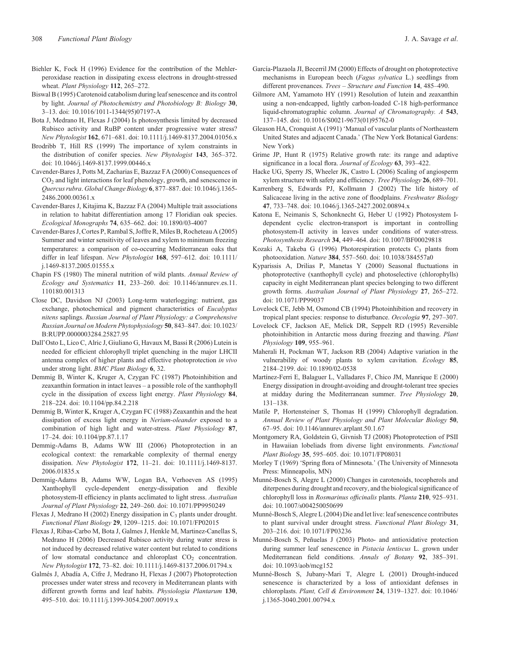- <span id="page-8-0"></span>Biehler K, Fock H (1996) Evidence for the contribution of the Mehlerperoxidase reaction in dissipating excess electrons in drought-stressed wheat. *Plant Physiology* **112**, 265–272.
- Biswal B (1995) Carotenoid catabolism during leaf senescence and its control by light. *Journal of Photochemistry and Photobiology B: Biology* **30**, 3–13. doi: 10.1016/1011-1344(95)07197-A
- Bota J, Medrano H, Flexas J (2004) Is photosynthesis limited by decreased Rubisco activity and RuBP content under progressive water stress? *New Phytologist* **162**, 671–681. doi: 10.1111/j.1469-8137.2004.01056.x
- Brodribb T, Hill RS (1999) The importance of xylem constraints in the distribution of conifer species. *New Phytologist* **143**, 365–372. doi: 10.1046/j.1469-8137.1999.00446.x
- Cavender-Bares J, Potts M, Zacharias E, Bazzaz FA (2000) Consequences of CO2 and light interactions for leaf phenology, growth, and senescence in *Quercus rubra*. *Global Change Biology* **6**, 877–887. doi: 10.1046/j.1365- 2486.2000.00361.x
- Cavender-Bares J, Kitajima K, Bazzaz FA (2004) Multiple trait associations in relation to habitat differentiation among 17 Floridian oak species. *Ecological Monographs* **74**, 635–662. doi: 10.1890/03-4007
- Cavender-Bares J, Cortes P, Rambal S, Joffre R, Miles B, Rocheteau A (2005) Summer and winter sensitivity of leaves and xylem to minimum freezing temperatures: a comparison of co-occurring Mediterranean oaks that differ in leaf lifespan. *New Phytologist* **168**, 597–612. doi: 10.1111/ j.1469-8137.2005.01555.x
- Chapin FS (1980) The mineral nutrition of wild plants. *Annual Review of Ecology and Systematics* **11**, 233–260. doi: 10.1146/annurev.es.11. 110180.001313
- Close DC, Davidson NJ (2003) Long-term waterlogging: nutrient, gas exchange, photochemical and pigment characteristics of *Eucalyptus nitens* saplings. *Russian Journal of Plant Physiology: a Comprehensive Russian Journal on Modern Phytophysiology* **50**, 843–847. doi: 10.1023/ B:RUPP.0000003284.25827.95
- Dall'Osto L, Lico C, Alric J, Giuliano G, Havaux M, Bassi R (2006) Lutein is needed for efficient chlorophyll triplet quenching in the major LHCII antenna complex of higher plants and effective photoprotection *in vivo* under strong light. *BMC Plant Biology* **6**, 32.
- Demmig B, Winter K, Kruger A, Czygan FC (1987) Photoinhibition and zeaxanthin formation in intact leaves – a possible role of the xanthophyll cycle in the dissipation of excess light energy. *Plant Physiology* **84**, 218–224. doi: 10.1104/pp.84.2.218
- Demmig B, Winter K, Kruger A, Czygan FC (1988) Zeaxanthin and the heat dissipation of excess light energy in *Nerium-oleander* exposed to a combination of high light and water-stress. *Plant Physiology* **87**, 17–24. doi: 10.1104/pp.87.1.17
- Demmig-Adams B, Adams WW III (2006) Photoprotection in an ecological context: the remarkable complexity of thermal energy dissipation. *New Phytologist* **172**, 11–21. doi: 10.1111/j.1469-8137. 2006.01835.x
- Demmig-Adams B, Adams WW, Logan BA, Verhoeven AS (1995) Xanthophyll cycle-dependent energy-dissipation and flexible photosystem-II efficiency in plants acclimated to light stress. *Australian Journal of Plant Physiology* **22**, 249–260. doi: 10.1071/PP9950249
- Flexas J, Medrano H (2002) Energy dissipation in C<sub>3</sub> plants under drought. *Functional Plant Biology* **29**, 1209–1215. doi: 10.1071/FP02015
- Flexas J, Ribas-Carbo M, Bota J, Galmes J, Henkle M, Martinez-Canellas S, Medrano H (2006) Decreased Rubisco activity during water stress is not induced by decreased relative water content but related to conditions of low stomatal conductance and chloroplast  $CO<sub>2</sub>$  concentration. *New Phytologist* **172**, 73–82. doi: 10.1111/j.1469-8137.2006.01794.x
- Galmés J, Abadía A, Cifre J, Medrano H, Flexas J (2007) Photoprotection processes under water stress and recovery in Mediterranean plants with different growth forms and leaf habits. *Physiologia Plantarum* **130**, 495–510. doi: 10.1111/j.1399-3054.2007.00919.x
- García-Plazaola JI, Becerril JM (2000) Effects of drought on photoprotective mechanisms in European beech (*Fagus sylvatica* L.) seedlings from different provenances. *Trees – Structure and Function* **14**, 485–490.
- Gilmore AM, Yamamoto HY (1991) Resolution of lutein and zeaxanthin using a non-endcapped, lightly carbon-loaded C-18 high-performance liquid-chromatographic column. *Journal of Chromatography. A* **543**, 137–145. doi: 10.1016/S0021-9673(01)95762-0
- Gleason HA, Cronquist A (1991) 'Manual of vascular plants of Northeastern United States and adjacent Canada.' (The New York Botanical Gardens: New York)
- Grime JP, Hunt R (1975) Relative growth rate: its range and adaptive significance in a local flora. *Journal of Ecology* **63**, 393–422.
- Hacke UG, Sperry JS, Wheeler JK, Castro L (2006) Scaling of angiosperm xylem structure with safety and efficiency. *Tree Physiology* **26**, 689–701.
- Karrenberg S, Edwards PJ, Kollmann J (2002) The life history of Salicaceae living in the active zone of floodplains. *Freshwater Biology* **47**, 733–748. doi: 10.1046/j.1365-2427.2002.00894.x
- Katona E, Neimanis S, Schonknecht G, Heber U (1992) Photosystem Idependent cyclic electron-transport is important in controlling photosystem-II activity in leaves under conditions of water-stress. *Photosynthesis Research* **34**, 449–464. doi: 10.1007/BF00029818
- Kozaki A, Takeba G (1996) Photorespiration protects  $C_3$  plants from photooxidation. *Nature* **384**, 557–560. doi: 10.1038/384557a0
- Kyparissis A, Drilias P, Manetas Y (2000) Seasonal fluctuations in photoprotective (xanthophyll cycle) and photoselective (chlorophylls) capacity in eight Mediterranean plant species belonging to two different growth forms. *Australian Journal of Plant Physiology* **27**, 265–272. doi: 10.1071/PP99037
- Lovelock CE, Jebb M, Osmond CB (1994) Photoinhibition and recovery in tropical plant species: response to disturbance. *Oecologia* **97**, 297–307.
- Lovelock CF, Jackson AE, Melick DR, Seppelt RD (1995) Reversible photoinhibition in Antarctic moss during freezing and thawing. *Plant Physiology* **109**, 955–961.
- Maherali H, Pockman WT, Jackson RB (2004) Adaptive variation in the vulnerability of woody plants to xylem cavitation. *Ecology* **85**, 2184–2199. doi: 10.1890/02-0538
- Martínez-Ferri E, Balaguer L, Valladares F, Chico JM, Manrique E (2000) Energy dissipation in drought-avoiding and drought-tolerant tree species at midday during the Mediterranean summer. *Tree Physiology* **20**, 131–138.
- Matile P, Hortensteiner S, Thomas H (1999) Chlorophyll degradation. *Annual Review of Plant Physiology and Plant Molecular Biology* **50**, 67–95. doi: 10.1146/annurev.arplant.50.1.67
- Montgomery RA, Goldstein G, Givnish TJ (2008) Photoprotection of PSII in Hawaiian lobeliads from diverse light environments. *Functional Plant Biology* **35**, 595–605. doi: 10.1071/FP08031
- Morley T (1969) 'Spring flora of Minnesota.' (The University of Minnesota Press: Minneapolis, MN)
- Munné-Bosch S, Alegre L (2000) Changes in carotenoids, tocopherols and diterpenes during drought and recovery, and the biological significance of chlorophyll loss in *Rosmarinus officinalis* plants. *Planta* **210**, 925–931. doi: 10.1007/s004250050699
- Munné-Bosch S, Alegre L (2004) Die and let live: leaf senescence contributes to plant survival under drought stress. *Functional Plant Biology* **31**, 203–216. doi: 10.1071/FP03236
- Munné-Bosch S, Peñuelas J (2003) Photo- and antioxidative protection during summer leaf senescence in *Pistacia lentiscus* L. grown under Mediterranean field conditions. *Annals of Botany* **92**, 385–391. doi: 10.1093/aob/mcg152
- Munné-Bosch S, Jubany-Mari T, Alegre L (2001) Drought-induced senescence is characterized by a loss of antioxidant defenses in chloroplasts. *Plant, Cell & Environment* **24**, 1319–1327. doi: 10.1046/ j.1365-3040.2001.00794.x